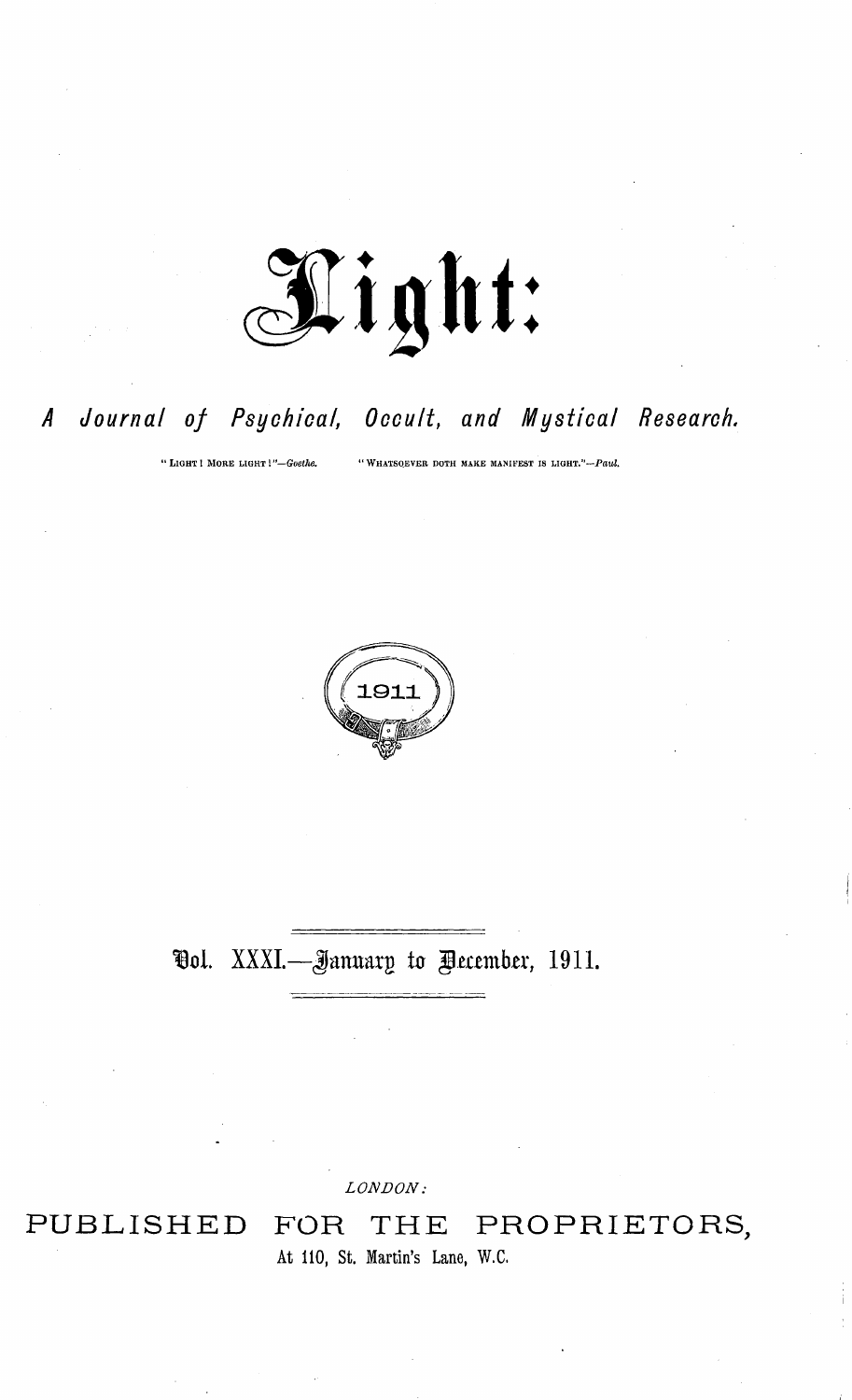

#### Journal of Psychical, Occult, and Mystical Research.  $\overline{A}$

"LIGHT! MORE LIGHT!"-Goethe.

"WHATSOEVER DOTH MAKE MANIFEST IS LIGHT."-Paul.



### **Ool.** XXXI.—January to Pecember, 1911.

LONDON:

# PUBLISHED

THE PROPRIETORS, FOR At 110, St. Martin's Lane, W.C.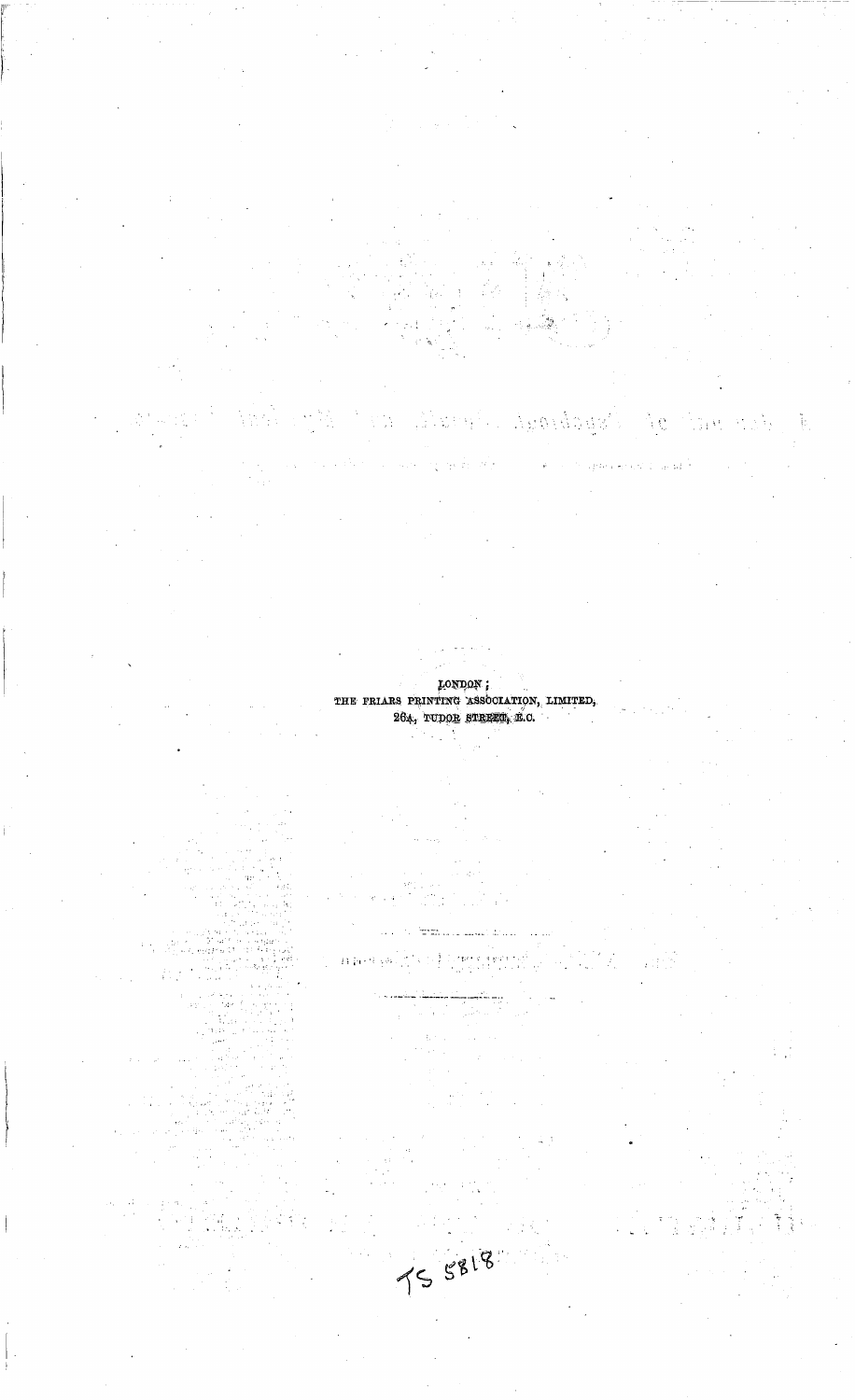#### LONDON ; THE FRIARS PRINTING ASSOCIATION, LIMITED, 264, TUDOR STREET, E.O.

úlstva

 $\mathbb{R}^2$ 

ζţ.

Ngo dagai

A.C

 $\mathcal{O}(\sqrt{2})$ 

Ñ.

 $\left\langle \begin{smallmatrix} \infty & 0 \\ 0 & 0 \end{smallmatrix} \right\rangle$ 

n h

TS 5818

an an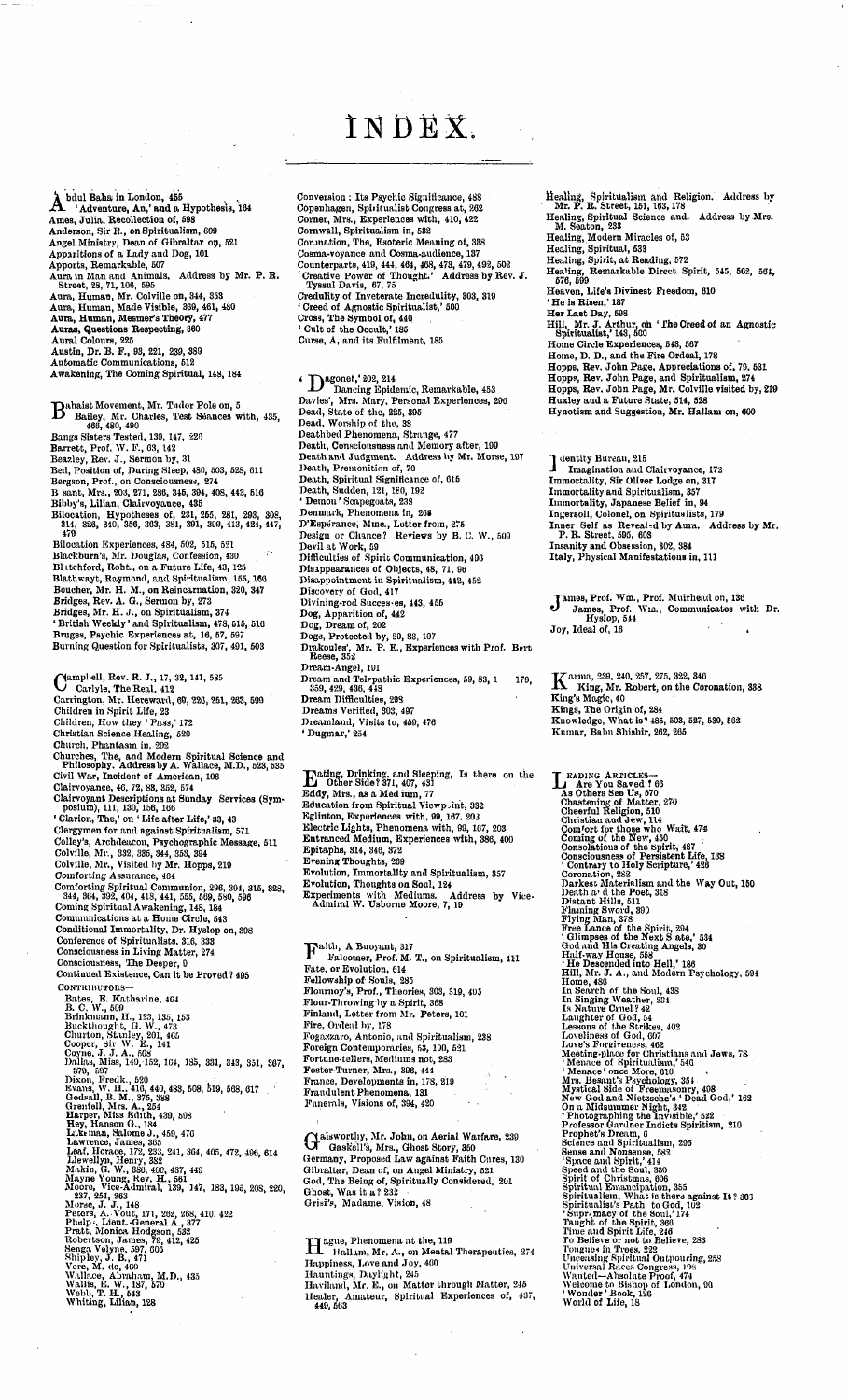## INDEX

A bdul Baha in London, 455<br>
A 'Adventure, An,' and a Hypothesis, 164<br>
Ames, Julia, Recollection of, 598<br>
Anderson, Sir R., on Spiritualism, 609<br>
Angel Ministry, Dean of Gibraltar op, 521<br>
Apportis, Remarksble, 507<br>
Apporti

**D** Bahaist Movement, Mr. Tudor Pole on, 5<br>
Baliey, Mr. Charles, Test Séances with, 435,<br>
466, 480, 490<br>
Bangs Sisters Tested, 139, 147, 226<br>
Barrett, Prof. W. F., 63, 142<br>
Beazley, Bev. J., Sermon by, 31<br>
Bed, Position of Bilocation Experiences, 484, 502, 515, 521<br>Blackburn's, Mr. Douglas, Confession, 430<br>Blackburn's, Mr. Douglas, Confession, 430<br>Blathwayt, Raymond, and Spiritualism, 155, 166<br>Bucher, Mr. H. M., on Reincarnation, 320, 347<br>Br Campbell, Rev. R. J., 17, 32, 141, 585<br>Carlyle, The Real, 412<br>Carrington, Mr. Hereward, 60, 226, 251, 263, 599<br>Children in Spirit Life, 23<br>Children, How they 'Pass,' 172<br>Christian Science Healing, 520 Church, Phantasm in, 202<br>Churches, The, and Modern Spiritual Science and<br>Philosophy, Address by A. Wallace, M.D., 523, 535<br>Civil War, Incident of American, 106<br>Clairvoyance, 46, 72, 83, 352, 574<br>Clairvoyant Descriptions at Clergymen for and sgainst Spiritualism, 571<br>Colley's, Archdeacon, Psychographic Message, 511<br>Colville, Mr., 332, 335, 344, 353, 394<br>Colville, Mr., Visited by Mr. Hopps, 219<br>Comforting Assurance, 464 Comforting Spiritual Communion, 296, 304, 315, 328, 334, 384, 394, 394, 413, 555, 569, 596<br>Coming Spiritual Awakening, 148, 549, 580, 596<br>Coming Spiritual Awakening, 148, 184<br>Communications at a Home Circle, 543<br>Conditiona **Contributors—** Bates, E. Katharine, 464<br>Br. C. W., 500<br>Brinknann, H., 123, 135, 153<br>Brinknann, H., 123, 135, 153<br>Churton, Stanley, 201, 465<br>Cooper, Sir W. E., 141<br>Dallas, Miss, 149, 152, 164, 185, 331, 343, 351, 367,<br>370, 597<br>Dixon, Fred

Conversion : Its Psychic Significance, 488<br>
Copenhagen, Spiritualist Congress at, 262<br>
Corner, Mrs., Experiences with, 410, 422<br>
Cornwall, Spiritualism in, 582<br>
Cornwall, Spiritualism in, 582<br>
Cornwall, Spiritualism in, 58

4 Dagonet, 202, 214<br>Davies', Mrs. Mary, Personal Experiences, 200<br>Denies', Mrs. Mary, Personal Experiences, 200<br>Dead, State of the, 225, 395<br>Dead, Worship of the, 38<br>Deathbed Phenomena, Strange, 477 Death, Consciousness and Memory after, 199<br>Death and Judgment. Address by Mr. Morse, 197<br>Death, Premonition of, 70<br>Death, Spiritual Significance of, 615<br>Death, Suiden, 121, 180, 192<br>Denon 'Scapegoust, 238<br>Denmark, Phenomen Dog, Dream of, 202<br>Dogs, Protected by, 20, 83, 107<br>Drakoules', Mr. P. E., Experiences with Prof. Bert<br>Reese, 352<br>Dream-Angel, 101 **Dream and Telepathic Experiences, 59, 83, <sup>1</sup> 179,** 359, 429, 436, 448<br>Dream Difficulties, 298<br>Dreams Verified, 303, 497<br>Dreamland, Visits to, 450, 476<br>'Dugmar,' 254

Trading, Drinking, and Sleeping, Is there on the<br>
Ld Other Side? 371, 407, 431<br>
Bddy, Mrs., as a Med ium, 77<br>
Education from Spiritual Viewp.int, 332<br>
Eglinton, Experiences with, 99, 167, 203<br>
Electric Lights, Phenomena wi

*Paith, A Buoyant, 317*<br>Falcomer, Prof. M. T., on Spiritualism, 411<br>Fate, or Evolution, 614<br>Fellowship of Souls, 235<br>Flournoy's, Prof., Theories, 303, 319, 405<br>Flour-Throwing by a Spirit, 368<br>Finland, Letter from Mr. Peter **Fire, Ordeal by, 178** Fogazzaro, Antonio, and Spiritualism, 288<br>Foreign Contemporaries, 63, 100, 631<br>Fortune-tellers, Mediums not, 283<br>Foster-Turner, Mrs., 396, 444<br>France, Developments in, 178, 219<br>Frandulent Phenomena, 131<br>Funerals, Visions o

**alsworthy, Mr. John, on Aerial Warfare, 239 VX Gaskell's, Mrs., Ghost Story, 350** Germany, Proposed Law against Faith Cures, 130<br>Gibraltar, Dean of, on Angel Ministry, 521<br>God, The Being of, Spiritually Considered, 201 **Ghost, Was it a? 232 Grisi's, Madame, Vision, 48**

*Hague, Phenomena at the, 119*<br>
Happiness, Love and Joy, 460<br>
Happiness, Love and Joy, 460<br>
Hauntings, Daylight, 245<br>
Hawiland, Mr. E., on Matter through Matter, 245<br>
Hawiland, Mr. E., on Matter through Matter, 245<br> **449,** 

Healing, Spiritualism and Religion. Address by Mr. P. R. Street, 151, 163, 178<br>Healing, Spiritual Science and. Address by Mrs.<br>M. Seaton, 233<br>Healing, Modern Miracles of, 53

Healing, Spiritual, 533<br>Healing, Spirit, at Reading, 572<br>Healing, Remarkable Direct Spirit, 545, 562, 561,<br>576, 599<br>Heaven, Life's Divinest Freedom, 610

'He is Risen,' 187<br>Her Last Day, 588<br>Hill, Mr. J. Arthur, on ' I'he Creed of an Agnostic<br>'Spiritualist,' 143, 500

Home Circle Experiences, 543, 567<br>Home, D. D., and the Fire Ordeal, 178<br>Hopps, Rev. John Page, Appreciations of, 79, 531<br>Hopps, Rev. John Page, and Spiritualism, 274<br>Hopps, Rev. John Page, and Spiritualism, 274<br>Hopps, Rev.

**'1 dentity Bureau, 215 J Imagination aud Clairvoyance, <sup>172</sup>** Immortality, Sir Oliver Lodge on, 317<br>Immortality and Spiritualism, 357<br>Immortality, Japanese Belief in, 94<br>Ingersoll, Colonel, on Spiritualists, 179<br>Inner Self as Reveal-d by Aura. Address by Mr.<br>P. R. Street, 595, 695<br>In

James, Prof. Wm., Prof. Muirhead on, 136<br>James, Prof. Wm., Communicates with Dr<br>Hyslop, 544<br>Joy, Ideal of, 16

K **arma, 239, 240, 257, 275, 322, 346 King, Mr. Robert, on the Coronation, 338** King's Magic, 40<br>Kings, The Origin of, 284<br>Knowledge, What is ? 485, 503, 527, 539, 502<br>Kumar, Babu Shishir, 262, 265

*L* Eapins d'Arricuiss—<br>
As Others See U<sub>5</sub>, 570<br>
Chestening of Matter. 270<br>
Chestening of Matter. 270<br>
Chestening of Matter. 270<br>
Christian and Jew, 114<br>
Com ott those who Walt, 47%<br>
Coming of the New, 450<br>
Considions of